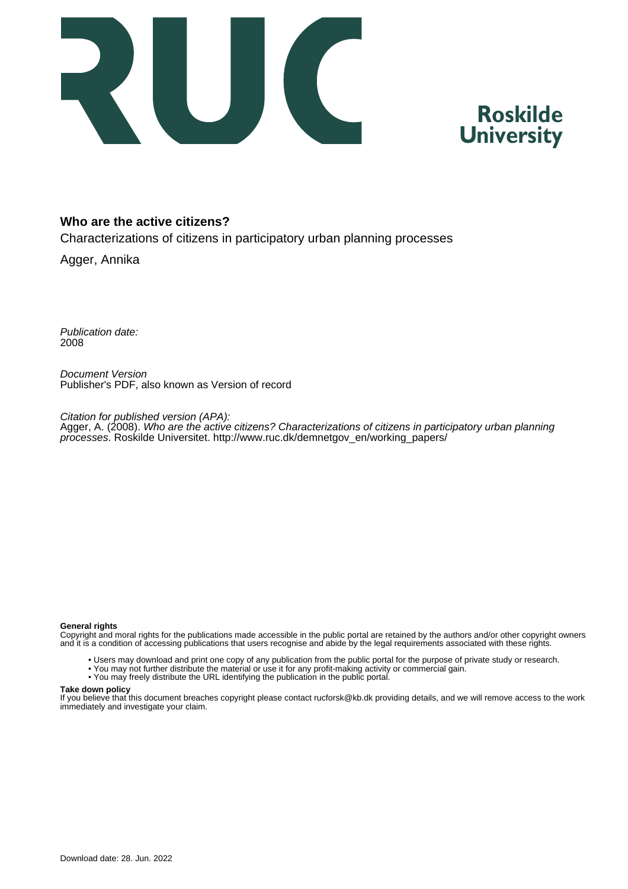

### **Roskilde University**

#### **Who are the active citizens?**

Characterizations of citizens in participatory urban planning processes

Agger, Annika

Publication date: 2008

Document Version Publisher's PDF, also known as Version of record

Citation for published version (APA): Agger, A. (2008). Who are the active citizens? Characterizations of citizens in participatory urban planning processes. Roskilde Universitet. [http://www.ruc.dk/demnetgov\\_en/working\\_papers/](http://www.ruc.dk/demnetgov_en/working_papers/)

#### **General rights**

Copyright and moral rights for the publications made accessible in the public portal are retained by the authors and/or other copyright owners and it is a condition of accessing publications that users recognise and abide by the legal requirements associated with these rights.

- Users may download and print one copy of any publication from the public portal for the purpose of private study or research.
- You may not further distribute the material or use it for any profit-making activity or commercial gain.
- You may freely distribute the URL identifying the publication in the public portal.

#### **Take down policy**

If you believe that this document breaches copyright please contact rucforsk@kb.dk providing details, and we will remove access to the work immediately and investigate your claim.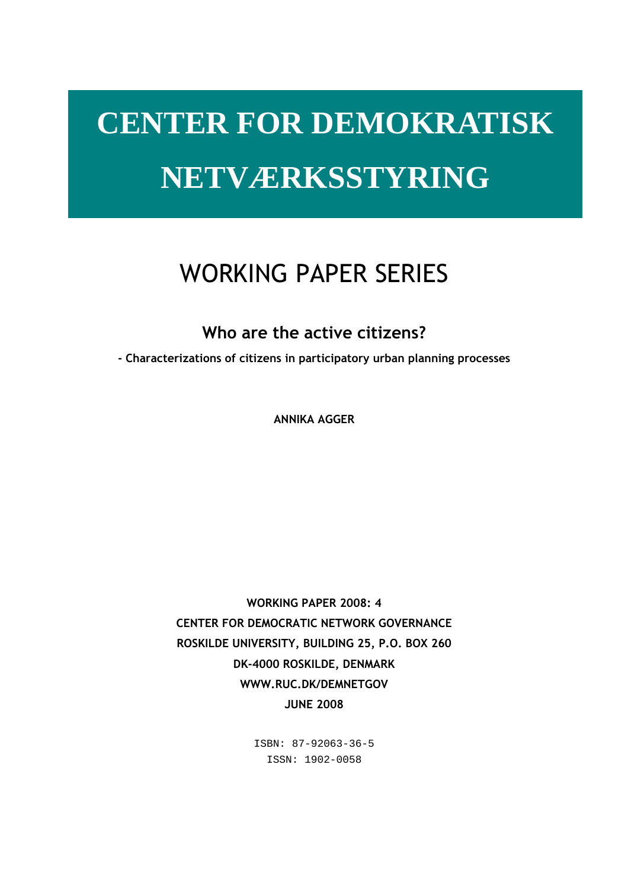# **CENTER FOR DEMOKRATISK NETVÆRKSSTYRING**

## WORKING PAPER SERIES

Who are the active citizens?

- Characterizations of citizens in participatory urban planning processes

ANNIKA AGGER

WORKING PAPER 2008: 4 CENTER FOR DEMOCRATIC NETWORK GOVERNANCE ROSKILDE UNIVERSITY, BUILDING 25, P.O. BOX 260 DK-4000 ROSKILDE, DENMARK WWW.RUC.DK/DEMNETGOV JUNE 2008

> ISBN: 87-92063-36-5 ISSN: 1902-0058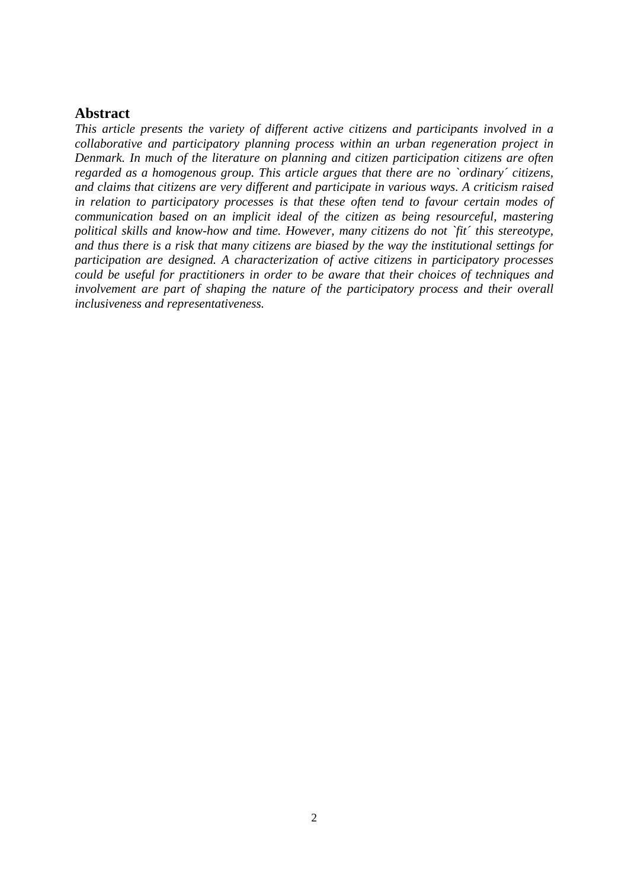#### **Abstract**

*This article presents the variety of different active citizens and participants involved in a collaborative and participatory planning process within an urban regeneration project in Denmark. In much of the literature on planning and citizen participation citizens are often regarded as a homogenous group. This article argues that there are no `ordinary´ citizens, and claims that citizens are very different and participate in various ways. A criticism raised in relation to participatory processes is that these often tend to favour certain modes of communication based on an implicit ideal of the citizen as being resourceful, mastering political skills and know-how and time. However, many citizens do not `fit´ this stereotype, and thus there is a risk that many citizens are biased by the way the institutional settings for participation are designed. A characterization of active citizens in participatory processes could be useful for practitioners in order to be aware that their choices of techniques and involvement are part of shaping the nature of the participatory process and their overall inclusiveness and representativeness.*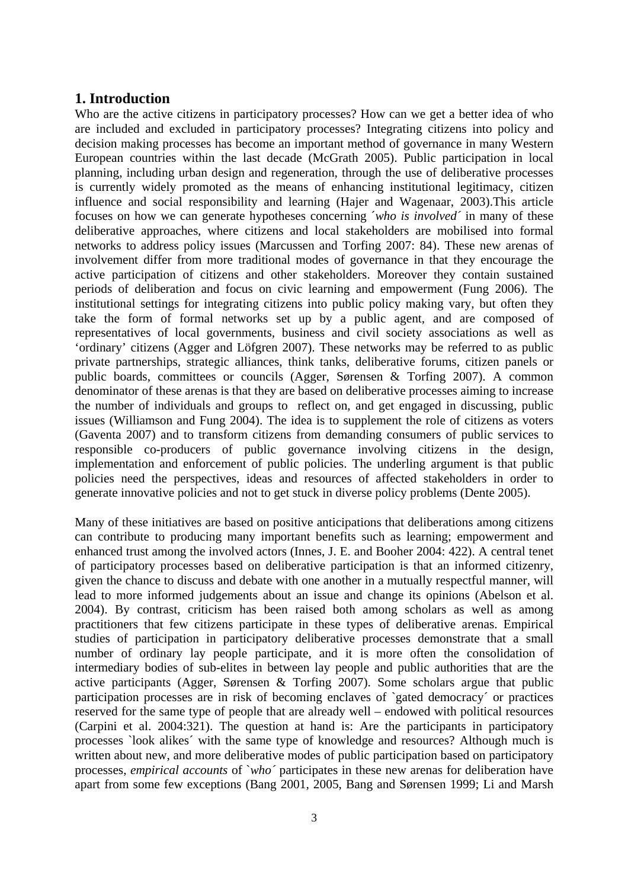#### **1. Introduction**

Who are the active citizens in participatory processes? How can we get a better idea of who are included and excluded in participatory processes? Integrating citizens into policy and decision making processes has become an important method of governance in many Western European countries within the last decade (McGrath 2005). Public participation in local planning, including urban design and regeneration, through the use of deliberative processes is currently widely promoted as the means of enhancing institutional legitimacy, citizen influence and social responsibility and learning (Hajer and Wagenaar, 2003).This article focuses on how we can generate hypotheses concerning ´*who is involved´* in many of these deliberative approaches, where citizens and local stakeholders are mobilised into formal networks to address policy issues (Marcussen and Torfing 2007: 84). These new arenas of involvement differ from more traditional modes of governance in that they encourage the active participation of citizens and other stakeholders. Moreover they contain sustained periods of deliberation and focus on civic learning and empowerment (Fung 2006). The institutional settings for integrating citizens into public policy making vary, but often they take the form of formal networks set up by a public agent, and are composed of representatives of local governments, business and civil society associations as well as 'ordinary' citizens (Agger and Löfgren 2007). These networks may be referred to as public private partnerships, strategic alliances, think tanks, deliberative forums, citizen panels or public boards, committees or councils (Agger, Sørensen & Torfing 2007). A common denominator of these arenas is that they are based on deliberative processes aiming to increase the number of individuals and groups to reflect on, and get engaged in discussing, public issues (Williamson and Fung 2004). The idea is to supplement the role of citizens as voters (Gaventa 2007) and to transform citizens from demanding consumers of public services to responsible co-producers of public governance involving citizens in the design, implementation and enforcement of public policies. The underling argument is that public policies need the perspectives, ideas and resources of affected stakeholders in order to generate innovative policies and not to get stuck in diverse policy problems (Dente 2005).

Many of these initiatives are based on positive anticipations that deliberations among citizens can contribute to producing many important benefits such as learning; empowerment and enhanced trust among the involved actors (Innes, J. E. and Booher 2004: 422). A central tenet of participatory processes based on deliberative participation is that an informed citizenry, given the chance to discuss and debate with one another in a mutually respectful manner, will lead to more informed judgements about an issue and change its opinions (Abelson et al. 2004). By contrast, criticism has been raised both among scholars as well as among practitioners that few citizens participate in these types of deliberative arenas. Empirical studies of participation in participatory deliberative processes demonstrate that a small number of ordinary lay people participate, and it is more often the consolidation of intermediary bodies of sub-elites in between lay people and public authorities that are the active participants (Agger, Sørensen & Torfing 2007). Some scholars argue that public participation processes are in risk of becoming enclaves of `gated democracy´ or practices reserved for the same type of people that are already well – endowed with political resources (Carpini et al. 2004:321). The question at hand is: Are the participants in participatory processes `look alikes´ with the same type of knowledge and resources? Although much is written about new, and more deliberative modes of public participation based on participatory processes, *empirical accounts* of `*who´* participates in these new arenas for deliberation have apart from some few exceptions (Bang 2001, 2005, Bang and Sørensen 1999; Li and Marsh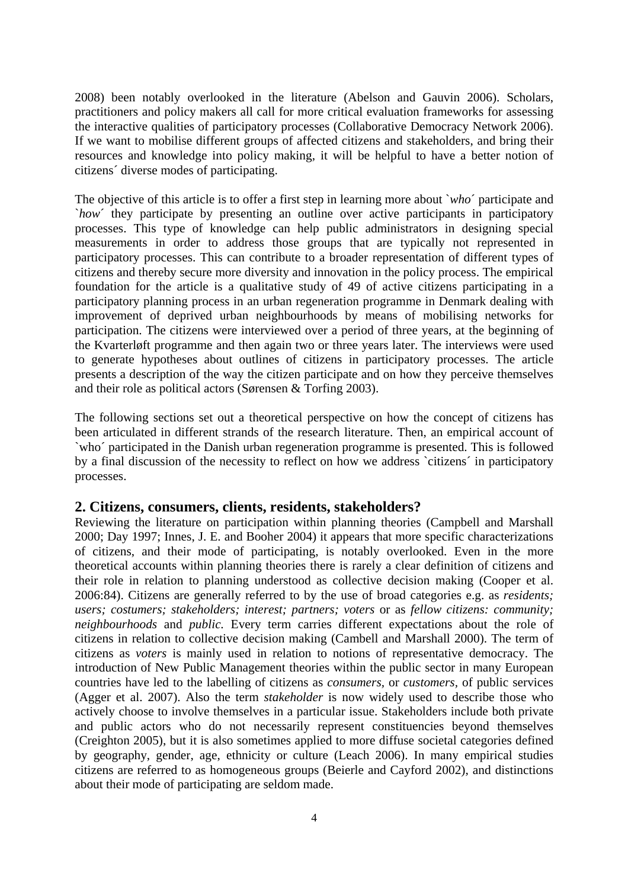2008) been notably overlooked in the literature (Abelson and Gauvin 2006). Scholars, practitioners and policy makers all call for more critical evaluation frameworks for assessing the interactive qualities of participatory processes (Collaborative Democracy Network 2006). If we want to mobilise different groups of affected citizens and stakeholders, and bring their resources and knowledge into policy making, it will be helpful to have a better notion of citizens´ diverse modes of participating.

The objective of this article is to offer a first step in learning more about `*who*´ participate and `*how*´ they participate by presenting an outline over active participants in participatory processes. This type of knowledge can help public administrators in designing special measurements in order to address those groups that are typically not represented in participatory processes. This can contribute to a broader representation of different types of citizens and thereby secure more diversity and innovation in the policy process. The empirical foundation for the article is a qualitative study of 49 of active citizens participating in a participatory planning process in an urban regeneration programme in Denmark dealing with improvement of deprived urban neighbourhoods by means of mobilising networks for participation. The citizens were interviewed over a period of three years, at the beginning of the Kvarterløft programme and then again two or three years later. The interviews were used to generate hypotheses about outlines of citizens in participatory processes. The article presents a description of the way the citizen participate and on how they perceive themselves and their role as political actors (Sørensen & Torfing 2003).

The following sections set out a theoretical perspective on how the concept of citizens has been articulated in different strands of the research literature. Then, an empirical account of `who´ participated in the Danish urban regeneration programme is presented. This is followed by a final discussion of the necessity to reflect on how we address `citizens´ in participatory processes.

#### **2. Citizens, consumers, clients, residents, stakeholders?**

Reviewing the literature on participation within planning theories (Campbell and Marshall 2000; Day 1997; Innes, J. E. and Booher 2004) it appears that more specific characterizations of citizens, and their mode of participating, is notably overlooked. Even in the more theoretical accounts within planning theories there is rarely a clear definition of citizens and their role in relation to planning understood as collective decision making (Cooper et al. 2006:84). Citizens are generally referred to by the use of broad categories e.g. as *residents; users; costumers; stakeholders; interest; partners; voters or as fellow citizens: community; neighbourhoods* and *public.* Every term carries different expectations about the role of citizens in relation to collective decision making (Cambell and Marshall 2000). The term of citizens as *voters* is mainly used in relation to notions of representative democracy. The introduction of New Public Management theories within the public sector in many European countries have led to the labelling of citizens as *consumers,* or *customers,* of public services (Agger et al. 2007). Also the term *stakeholder* is now widely used to describe those who actively choose to involve themselves in a particular issue. Stakeholders include both private and public actors who do not necessarily represent constituencies beyond themselves (Creighton 2005), but it is also sometimes applied to more diffuse societal categories defined by geography, gender, age, ethnicity or culture (Leach 2006). In many empirical studies citizens are referred to as homogeneous groups (Beierle and Cayford 2002), and distinctions about their mode of participating are seldom made.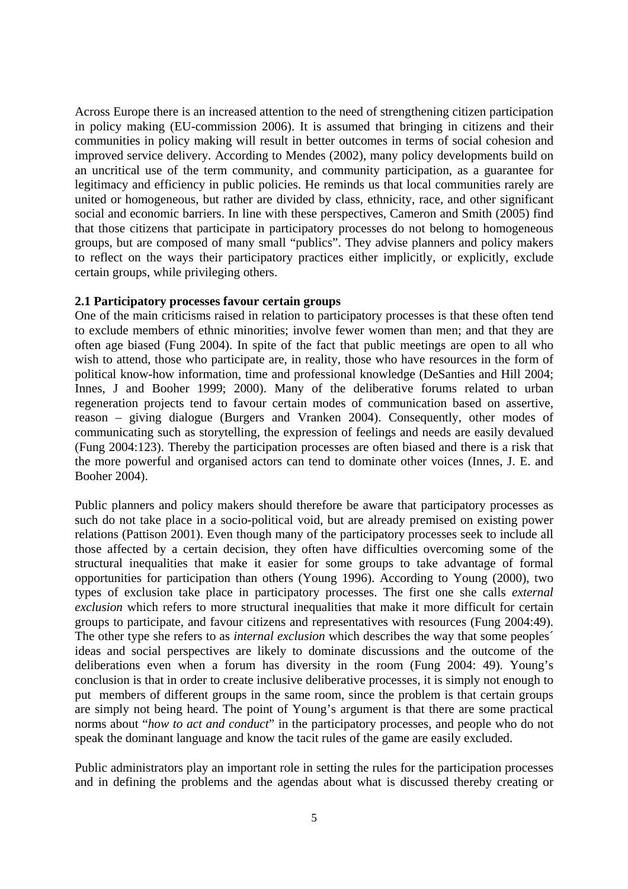Across Europe there is an increased attention to the need of strengthening citizen participation in policy making (EU-commission 2006). It is assumed that bringing in citizens and their communities in policy making will result in better outcomes in terms of social cohesion and improved service delivery. According to Mendes (2002), many policy developments build on an uncritical use of the term community, and community participation, as a guarantee for legitimacy and efficiency in public policies. He reminds us that local communities rarely are united or homogeneous, but rather are divided by class, ethnicity, race, and other significant social and economic barriers. In line with these perspectives, Cameron and Smith (2005) find that those citizens that participate in participatory processes do not belong to homogeneous groups, but are composed of many small "publics". They advise planners and policy makers to reflect on the ways their participatory practices either implicitly, or explicitly, exclude certain groups, while privileging others.

#### **2.1 Participatory processes favour certain groups**

One of the main criticisms raised in relation to participatory processes is that these often tend to exclude members of ethnic minorities; involve fewer women than men; and that they are often age biased (Fung 2004). In spite of the fact that public meetings are open to all who wish to attend, those who participate are, in reality, those who have resources in the form of political know-how information, time and professional knowledge (DeSanties and Hill 2004; Innes, J and Booher 1999; 2000). Many of the deliberative forums related to urban regeneration projects tend to favour certain modes of communication based on assertive, reason – giving dialogue (Burgers and Vranken 2004). Consequently, other modes of communicating such as storytelling, the expression of feelings and needs are easily devalued (Fung 2004:123). Thereby the participation processes are often biased and there is a risk that the more powerful and organised actors can tend to dominate other voices (Innes, J. E. and Booher 2004).

Public planners and policy makers should therefore be aware that participatory processes as such do not take place in a socio-political void, but are already premised on existing power relations (Pattison 2001). Even though many of the participatory processes seek to include all those affected by a certain decision, they often have difficulties overcoming some of the structural inequalities that make it easier for some groups to take advantage of formal opportunities for participation than others (Young 1996). According to Young (2000), two types of exclusion take place in participatory processes. The first one she calls *external exclusion* which refers to more structural inequalities that make it more difficult for certain groups to participate, and favour citizens and representatives with resources (Fung 2004:49). The other type she refers to as *internal exclusion* which describes the way that some peoples´ ideas and social perspectives are likely to dominate discussions and the outcome of the deliberations even when a forum has diversity in the room (Fung 2004: 49). Young's conclusion is that in order to create inclusive deliberative processes, it is simply not enough to put members of different groups in the same room, since the problem is that certain groups are simply not being heard. The point of Young's argument is that there are some practical norms about "*how to act and conduct*" in the participatory processes, and people who do not speak the dominant language and know the tacit rules of the game are easily excluded.

Public administrators play an important role in setting the rules for the participation processes and in defining the problems and the agendas about what is discussed thereby creating or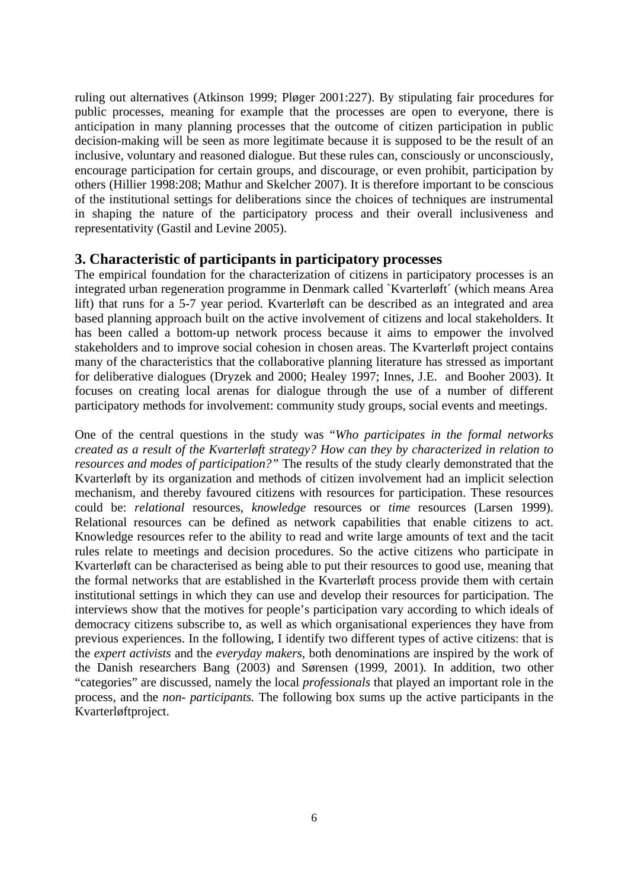ruling out alternatives (Atkinson 1999; Pløger 2001:227). By stipulating fair procedures for public processes, meaning for example that the processes are open to everyone, there is anticipation in many planning processes that the outcome of citizen participation in public decision-making will be seen as more legitimate because it is supposed to be the result of an inclusive, voluntary and reasoned dialogue. But these rules can, consciously or unconsciously, encourage participation for certain groups, and discourage, or even prohibit, participation by others (Hillier 1998:208; Mathur and Skelcher 2007). It is therefore important to be conscious of the institutional settings for deliberations since the choices of techniques are instrumental in shaping the nature of the participatory process and their overall inclusiveness and representativity (Gastil and Levine 2005).

#### **3. Characteristic of participants in participatory processes**

The empirical foundation for the characterization of citizens in participatory processes is an integrated urban regeneration programme in Denmark called `Kvarterløft´ (which means Area lift) that runs for a 5-7 year period. Kvarterløft can be described as an integrated and area based planning approach built on the active involvement of citizens and local stakeholders. It has been called a bottom-up network process because it aims to empower the involved stakeholders and to improve social cohesion in chosen areas. The Kvarterløft project contains many of the characteristics that the collaborative planning literature has stressed as important for deliberative dialogues (Dryzek and 2000; Healey 1997; Innes, J.E. and Booher 2003). It focuses on creating local arenas for dialogue through the use of a number of different participatory methods for involvement: community study groups, social events and meetings.

One of the central questions in the study was "*Who participates in the formal networks created as a result of the Kvarterløft strategy? How can they by characterized in relation to resources and modes of participation?"* The results of the study clearly demonstrated that the Kvarterløft by its organization and methods of citizen involvement had an implicit selection mechanism, and thereby favoured citizens with resources for participation. These resources could be: *relational* resources, *knowledge* resources or *time* resources (Larsen 1999). Relational resources can be defined as network capabilities that enable citizens to act. Knowledge resources refer to the ability to read and write large amounts of text and the tacit rules relate to meetings and decision procedures. So the active citizens who participate in Kvarterløft can be characterised as being able to put their resources to good use, meaning that the formal networks that are established in the Kvarterløft process provide them with certain institutional settings in which they can use and develop their resources for participation. The interviews show that the motives for people's participation vary according to which ideals of democracy citizens subscribe to, as well as which organisational experiences they have from previous experiences. In the following, I identify two different types of active citizens: that is the *expert activists* and the *everyday makers*, both denominations are inspired by the work of the Danish researchers Bang (2003) and Sørensen (1999, 2001)*.* In addition, two other "categories" are discussed, namely the local *professionals* that played an important role in the process, and the *non- participants.* The following box sums up the active participants in the Kvarterløftproject.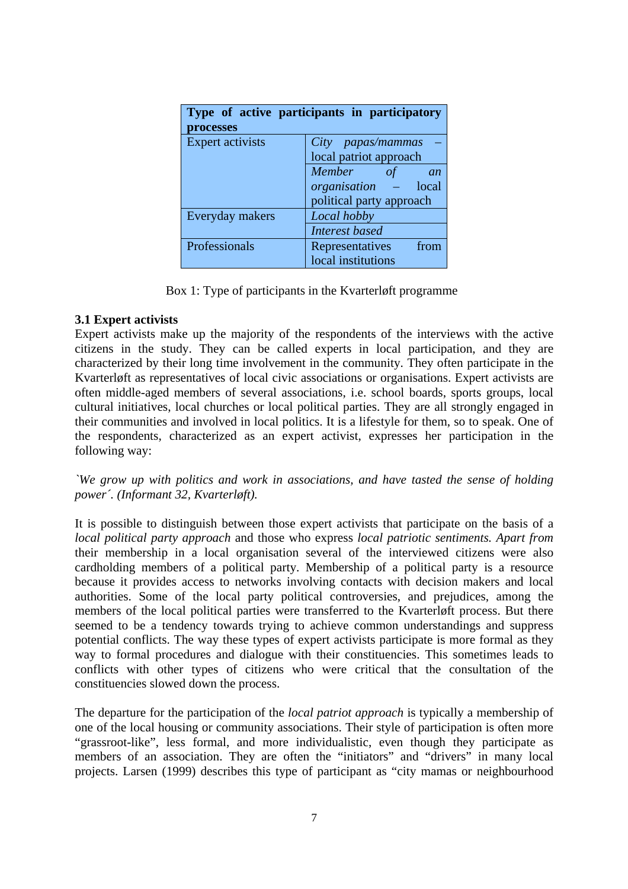| Type of active participants in participatory<br>processes |                                             |
|-----------------------------------------------------------|---------------------------------------------|
| <b>Expert activists</b>                                   | City papas/mammas<br>local patriot approach |
|                                                           | <b>Member</b><br>an                         |
|                                                           | organisation<br>local                       |
|                                                           | political party approach                    |
| Everyday makers                                           | Local hobby                                 |
|                                                           | <b>Interest based</b>                       |
| Professionals                                             | Representatives<br>from                     |
|                                                           | local institutions                          |

Box 1: Type of participants in the Kvarterløft programme

#### **3.1 Expert activists**

Expert activists make up the majority of the respondents of the interviews with the active citizens in the study. They can be called experts in local participation, and they are characterized by their long time involvement in the community. They often participate in the Kvarterløft as representatives of local civic associations or organisations. Expert activists are often middle-aged members of several associations, i.e. school boards, sports groups, local cultural initiatives, local churches or local political parties. They are all strongly engaged in their communities and involved in local politics. It is a lifestyle for them, so to speak. One of the respondents, characterized as an expert activist, expresses her participation in the following way:

*`We grow up with politics and work in associations, and have tasted the sense of holding power´. (Informant 32, Kvarterløft).* 

It is possible to distinguish between those expert activists that participate on the basis of a *local political party approach* and those who express *local patriotic sentiments. Apart from*  their membership in a local organisation several of the interviewed citizens were also cardholding members of a political party. Membership of a political party is a resource because it provides access to networks involving contacts with decision makers and local authorities. Some of the local party political controversies, and prejudices, among the members of the local political parties were transferred to the Kvarterløft process. But there seemed to be a tendency towards trying to achieve common understandings and suppress potential conflicts. The way these types of expert activists participate is more formal as they way to formal procedures and dialogue with their constituencies. This sometimes leads to conflicts with other types of citizens who were critical that the consultation of the constituencies slowed down the process.

The departure for the participation of the *local patriot approach* is typically a membership of one of the local housing or community associations. Their style of participation is often more "grassroot-like", less formal, and more individualistic, even though they participate as members of an association. They are often the "initiators" and "drivers" in many local projects. Larsen (1999) describes this type of participant as "city mamas or neighbourhood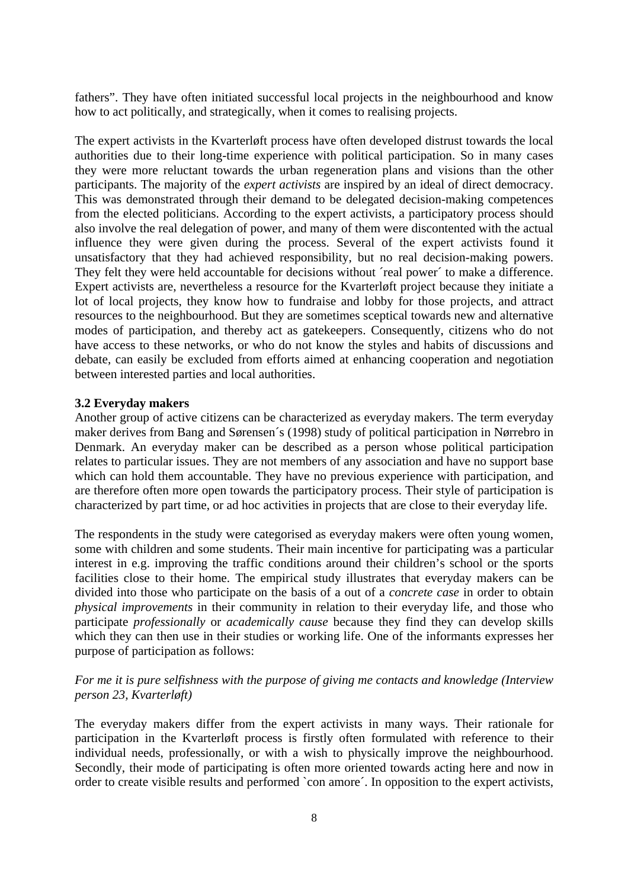fathers". They have often initiated successful local projects in the neighbourhood and know how to act politically, and strategically, when it comes to realising projects.

The expert activists in the Kvarterløft process have often developed distrust towards the local authorities due to their long-time experience with political participation. So in many cases they were more reluctant towards the urban regeneration plans and visions than the other participants. The majority of the *expert activists* are inspired by an ideal of direct democracy. This was demonstrated through their demand to be delegated decision-making competences from the elected politicians. According to the expert activists, a participatory process should also involve the real delegation of power, and many of them were discontented with the actual influence they were given during the process. Several of the expert activists found it unsatisfactory that they had achieved responsibility, but no real decision-making powers. They felt they were held accountable for decisions without 'real power' to make a difference. Expert activists are, nevertheless a resource for the Kvarterløft project because they initiate a lot of local projects, they know how to fundraise and lobby for those projects, and attract resources to the neighbourhood. But they are sometimes sceptical towards new and alternative modes of participation, and thereby act as gatekeepers. Consequently, citizens who do not have access to these networks, or who do not know the styles and habits of discussions and debate, can easily be excluded from efforts aimed at enhancing cooperation and negotiation between interested parties and local authorities.

#### **3.2 Everyday makers**

Another group of active citizens can be characterized as everyday makers. The term everyday maker derives from Bang and Sørensen´s (1998) study of political participation in Nørrebro in Denmark. An everyday maker can be described as a person whose political participation relates to particular issues. They are not members of any association and have no support base which can hold them accountable. They have no previous experience with participation, and are therefore often more open towards the participatory process. Their style of participation is characterized by part time, or ad hoc activities in projects that are close to their everyday life.

The respondents in the study were categorised as everyday makers were often young women, some with children and some students. Their main incentive for participating was a particular interest in e.g. improving the traffic conditions around their children's school or the sports facilities close to their home. The empirical study illustrates that everyday makers can be divided into those who participate on the basis of a out of a *concrete case* in order to obtain *physical improvements* in their community in relation to their everyday life, and those who participate *professionally* or *academically cause* because they find they can develop skills which they can then use in their studies or working life. One of the informants expresses her purpose of participation as follows:

#### *For me it is pure selfishness with the purpose of giving me contacts and knowledge (Interview person 23, Kvarterløft)*

The everyday makers differ from the expert activists in many ways. Their rationale for participation in the Kvarterløft process is firstly often formulated with reference to their individual needs, professionally, or with a wish to physically improve the neighbourhood. Secondly, their mode of participating is often more oriented towards acting here and now in order to create visible results and performed `con amore´. In opposition to the expert activists,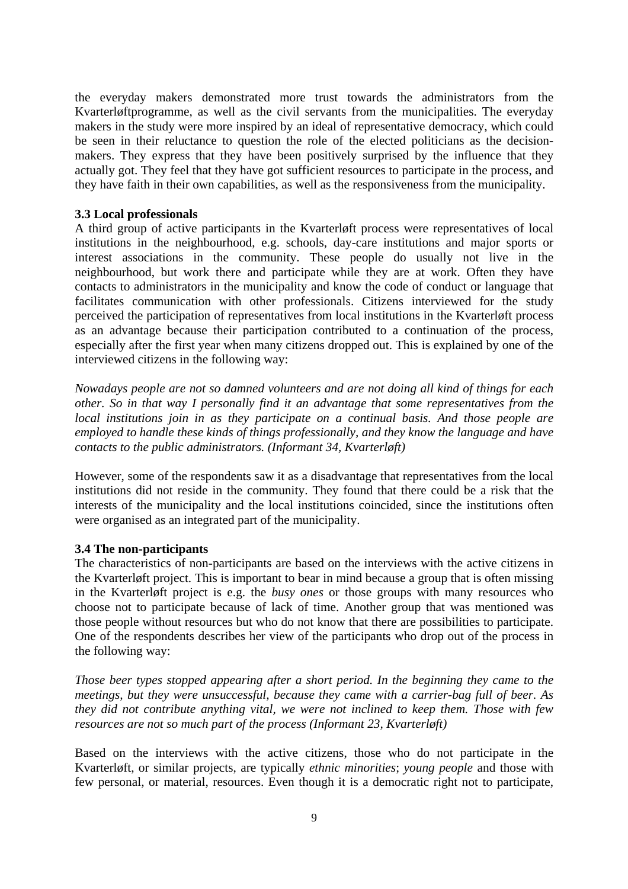the everyday makers demonstrated more trust towards the administrators from the Kvarterløftprogramme, as well as the civil servants from the municipalities. The everyday makers in the study were more inspired by an ideal of representative democracy, which could be seen in their reluctance to question the role of the elected politicians as the decisionmakers. They express that they have been positively surprised by the influence that they actually got. They feel that they have got sufficient resources to participate in the process, and they have faith in their own capabilities, as well as the responsiveness from the municipality.

#### **3.3 Local professionals**

A third group of active participants in the Kvarterløft process were representatives of local institutions in the neighbourhood, e.g. schools, day-care institutions and major sports or interest associations in the community. These people do usually not live in the neighbourhood, but work there and participate while they are at work. Often they have contacts to administrators in the municipality and know the code of conduct or language that facilitates communication with other professionals. Citizens interviewed for the study perceived the participation of representatives from local institutions in the Kvarterløft process as an advantage because their participation contributed to a continuation of the process, especially after the first year when many citizens dropped out. This is explained by one of the interviewed citizens in the following way:

*Nowadays people are not so damned volunteers and are not doing all kind of things for each other. So in that way I personally find it an advantage that some representatives from the local institutions join in as they participate on a continual basis. And those people are employed to handle these kinds of things professionally, and they know the language and have contacts to the public administrators. (Informant 34, Kvarterløft)* 

However, some of the respondents saw it as a disadvantage that representatives from the local institutions did not reside in the community. They found that there could be a risk that the interests of the municipality and the local institutions coincided, since the institutions often were organised as an integrated part of the municipality.

#### **3.4 The non-participants**

The characteristics of non-participants are based on the interviews with the active citizens in the Kvarterløft project. This is important to bear in mind because a group that is often missing in the Kvarterløft project is e.g. the *busy ones* or those groups with many resources who choose not to participate because of lack of time. Another group that was mentioned was those people without resources but who do not know that there are possibilities to participate. One of the respondents describes her view of the participants who drop out of the process in the following way:

*Those beer types stopped appearing after a short period. In the beginning they came to the meetings, but they were unsuccessful, because they came with a carrier-bag full of beer. As they did not contribute anything vital, we were not inclined to keep them. Those with few resources are not so much part of the process (Informant 23, Kvarterløft)* 

Based on the interviews with the active citizens, those who do not participate in the Kvarterløft, or similar projects, are typically *ethnic minorities*; *young people* and those with few personal, or material, resources. Even though it is a democratic right not to participate,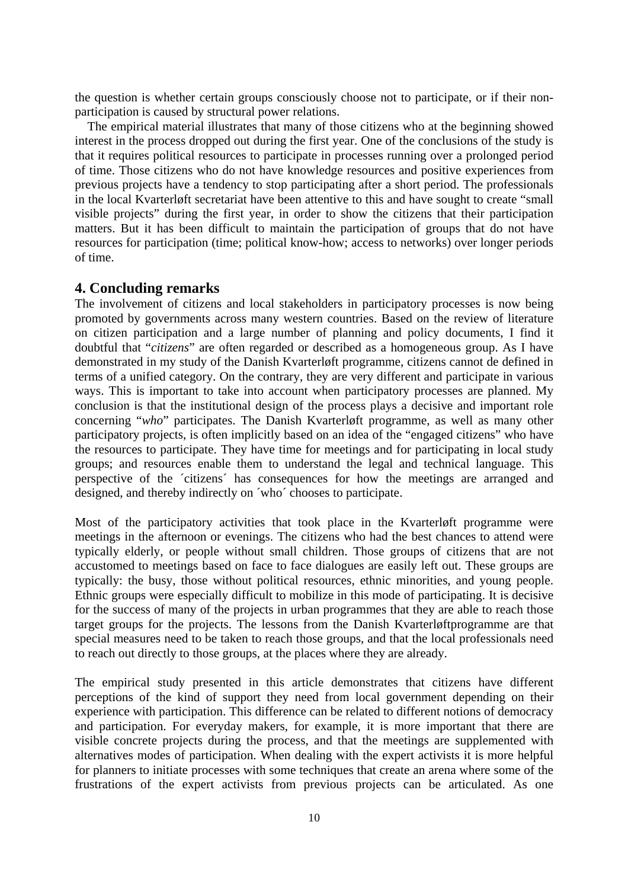the question is whether certain groups consciously choose not to participate, or if their nonparticipation is caused by structural power relations.

The empirical material illustrates that many of those citizens who at the beginning showed interest in the process dropped out during the first year. One of the conclusions of the study is that it requires political resources to participate in processes running over a prolonged period of time. Those citizens who do not have knowledge resources and positive experiences from previous projects have a tendency to stop participating after a short period. The professionals in the local Kvarterløft secretariat have been attentive to this and have sought to create "small visible projects" during the first year, in order to show the citizens that their participation matters. But it has been difficult to maintain the participation of groups that do not have resources for participation (time; political know-how; access to networks) over longer periods of time.

#### **4. Concluding remarks**

The involvement of citizens and local stakeholders in participatory processes is now being promoted by governments across many western countries. Based on the review of literature on citizen participation and a large number of planning and policy documents, I find it doubtful that "*citizens*" are often regarded or described as a homogeneous group. As I have demonstrated in my study of the Danish Kvarterløft programme, citizens cannot de defined in terms of a unified category. On the contrary, they are very different and participate in various ways. This is important to take into account when participatory processes are planned. My conclusion is that the institutional design of the process plays a decisive and important role concerning "*who*" participates. The Danish Kvarterløft programme, as well as many other participatory projects, is often implicitly based on an idea of the "engaged citizens" who have the resources to participate. They have time for meetings and for participating in local study groups; and resources enable them to understand the legal and technical language. This perspective of the ´citizens´ has consequences for how the meetings are arranged and designed, and thereby indirectly on ´who´ chooses to participate.

Most of the participatory activities that took place in the Kvarterløft programme were meetings in the afternoon or evenings. The citizens who had the best chances to attend were typically elderly, or people without small children. Those groups of citizens that are not accustomed to meetings based on face to face dialogues are easily left out. These groups are typically: the busy, those without political resources, ethnic minorities, and young people. Ethnic groups were especially difficult to mobilize in this mode of participating. It is decisive for the success of many of the projects in urban programmes that they are able to reach those target groups for the projects. The lessons from the Danish Kvarterløftprogramme are that special measures need to be taken to reach those groups, and that the local professionals need to reach out directly to those groups, at the places where they are already.

The empirical study presented in this article demonstrates that citizens have different perceptions of the kind of support they need from local government depending on their experience with participation. This difference can be related to different notions of democracy and participation. For everyday makers, for example, it is more important that there are visible concrete projects during the process, and that the meetings are supplemented with alternatives modes of participation. When dealing with the expert activists it is more helpful for planners to initiate processes with some techniques that create an arena where some of the frustrations of the expert activists from previous projects can be articulated. As one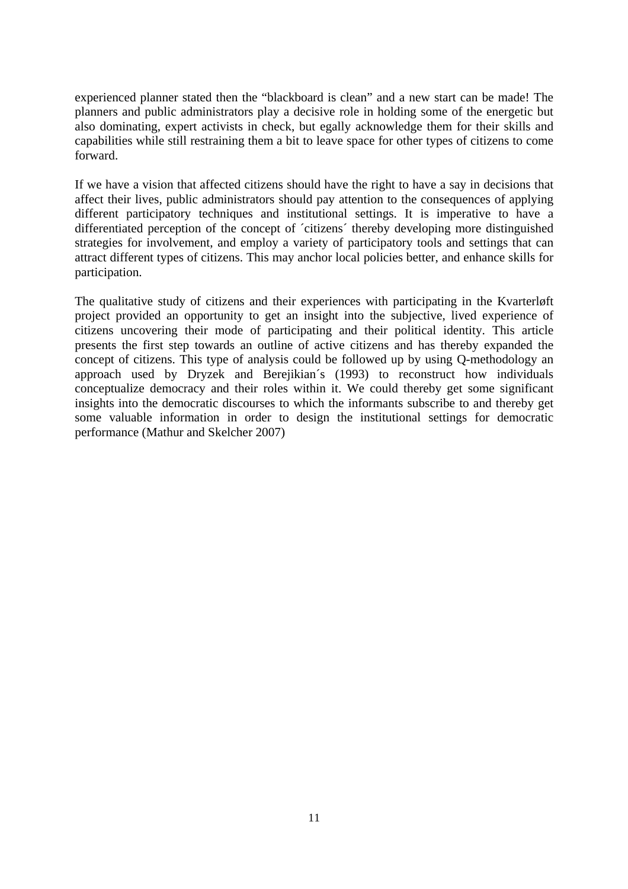experienced planner stated then the "blackboard is clean" and a new start can be made! The planners and public administrators play a decisive role in holding some of the energetic but also dominating, expert activists in check, but egally acknowledge them for their skills and capabilities while still restraining them a bit to leave space for other types of citizens to come forward.

If we have a vision that affected citizens should have the right to have a say in decisions that affect their lives, public administrators should pay attention to the consequences of applying different participatory techniques and institutional settings. It is imperative to have a differentiated perception of the concept of ´citizens´ thereby developing more distinguished strategies for involvement, and employ a variety of participatory tools and settings that can attract different types of citizens. This may anchor local policies better, and enhance skills for participation.

The qualitative study of citizens and their experiences with participating in the Kvarterløft project provided an opportunity to get an insight into the subjective, lived experience of citizens uncovering their mode of participating and their political identity. This article presents the first step towards an outline of active citizens and has thereby expanded the concept of citizens. This type of analysis could be followed up by using Q-methodology an approach used by Dryzek and Berejikian´s (1993) to reconstruct how individuals conceptualize democracy and their roles within it. We could thereby get some significant insights into the democratic discourses to which the informants subscribe to and thereby get some valuable information in order to design the institutional settings for democratic performance (Mathur and Skelcher 2007)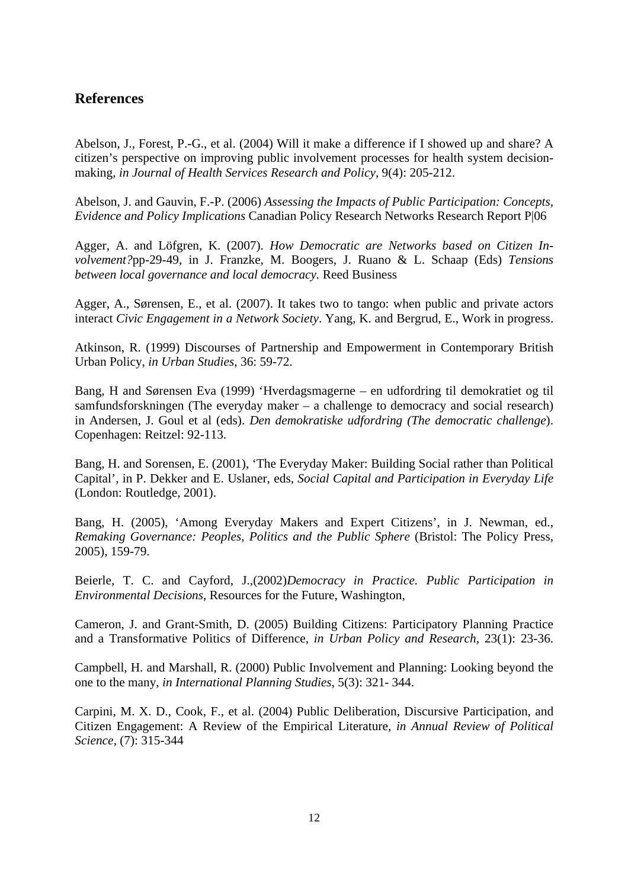#### **References**

Abelson, J., Forest, P.-G., et al. (2004) Will it make a difference if I showed up and share? A citizen's perspective on improving public involvement processes for health system decisionmaking, *in Journal of Health Services Research and Policy*, 9(4): 205-212.

Abelson, J. and Gauvin, F.-P. (2006) *Assessing the Impacts of Public Participation: Concepts, Evidence and Policy Implications* Canadian Policy Research Networks Research Report P|06

Agger, A. and Löfgren, K. (2007). *How Democratic are Networks based on Citizen Involvement?*pp-29-49, in J. Franzke, M. Boogers, J. Ruano & L. Schaap (Eds) *Tensions between local governance and local democracy.* Reed Business

Agger, A., Sørensen, E., et al. (2007). It takes two to tango: when public and private actors interact *Civic Engagement in a Network Society*. Yang, K. and Bergrud, E., Work in progress.

Atkinson, R. (1999) Discourses of Partnership and Empowerment in Contemporary British Urban Policy, *in Urban Studies*, 36: 59-72.

Bang, H and Sørensen Eva (1999) 'Hverdagsmagerne – en udfordring til demokratiet og til samfundsforskningen (The everyday maker – a challenge to democracy and social research) in Andersen, J. Goul et al (eds). *Den demokratiske udfordring (The democratic challenge*). Copenhagen: Reitzel: 92-113.

Bang, H. and Sorensen, E. (2001), 'The Everyday Maker: Building Social rather than Political Capital', in P. Dekker and E. Uslaner, eds, *Social Capital and Participation in Everyday Life*  (London: Routledge, 2001).

Bang, H. (2005), 'Among Everyday Makers and Expert Citizens', in J. Newman, ed., *Remaking Governance: Peoples, Politics and the Public Sphere* (Bristol: The Policy Press, 2005), 159-79.

Beierle, T. C. and Cayford, J.,(2002)*Democracy in Practice. Public Participation in Environmental Decisions*, Resources for the Future, Washington,

Cameron, J. and Grant-Smith, D. (2005) Building Citizens: Participatory Planning Practice and a Transformative Politics of Difference, *in Urban Policy and Research*, 23(1): 23-36.

Campbell, H. and Marshall, R. (2000) Public Involvement and Planning: Looking beyond the one to the many, *in International Planning Studies*, 5(3): 321- 344.

Carpini, M. X. D., Cook, F., et al. (2004) Public Deliberation, Discursive Participation, and Citizen Engagement: A Review of the Empirical Literature, *in Annual Review of Political Science*, (7): 315-344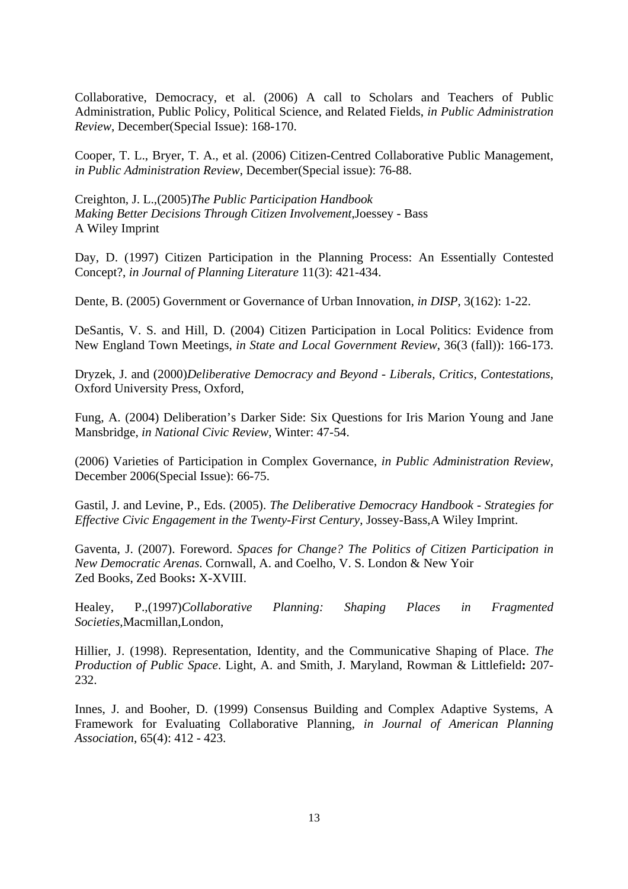Collaborative, Democracy, et al. (2006) A call to Scholars and Teachers of Public Administration, Public Policy, Political Science, and Related Fields, *in Public Administration Review*, December(Special Issue): 168-170.

Cooper, T. L., Bryer, T. A., et al. (2006) Citizen-Centred Collaborative Public Management, *in Public Administration Review*, December(Special issue): 76-88.

Creighton, J. L.,(2005)*The Public Participation Handbook Making Better Decisions Through Citizen Involvement*,Joessey - Bass A Wiley Imprint

Day, D. (1997) Citizen Participation in the Planning Process: An Essentially Contested Concept?, *in Journal of Planning Literature* 11(3): 421-434.

Dente, B. (2005) Government or Governance of Urban Innovation, *in DISP*, 3(162): 1-22.

DeSantis, V. S. and Hill, D. (2004) Citizen Participation in Local Politics: Evidence from New England Town Meetings, *in State and Local Government Review*, 36(3 (fall)): 166-173.

Dryzek, J. and (2000)*Deliberative Democracy and Beyond - Liberals, Critics, Contestations*, Oxford University Press, Oxford,

Fung, A. (2004) Deliberation's Darker Side: Six Questions for Iris Marion Young and Jane Mansbridge, *in National Civic Review*, Winter: 47-54.

(2006) Varieties of Participation in Complex Governance, *in Public Administration Review*, December 2006(Special Issue): 66-75.

Gastil, J. and Levine, P., Eds. (2005). *The Deliberative Democracy Handbook - Strategies for Effective Civic Engagement in the Twenty-First Century*, Jossey-Bass,A Wiley Imprint.

Gaventa, J. (2007). Foreword. *Spaces for Change? The Politics of Citizen Participation in New Democratic Arenas*. Cornwall, A. and Coelho, V. S. London & New Yoir Zed Books, Zed Books**:** X-XVIII.

Healey, P.,(1997)*Collaborative Planning: Shaping Places in Fragmented Societies*,Macmillan,London,

Hillier, J. (1998). Representation, Identity, and the Communicative Shaping of Place. *The Production of Public Space*. Light, A. and Smith, J. Maryland, Rowman & Littlefield**:** 207- 232.

Innes, J. and Booher, D. (1999) Consensus Building and Complex Adaptive Systems, A Framework for Evaluating Collaborative Planning, *in Journal of American Planning Association*, 65(4): 412 - 423.